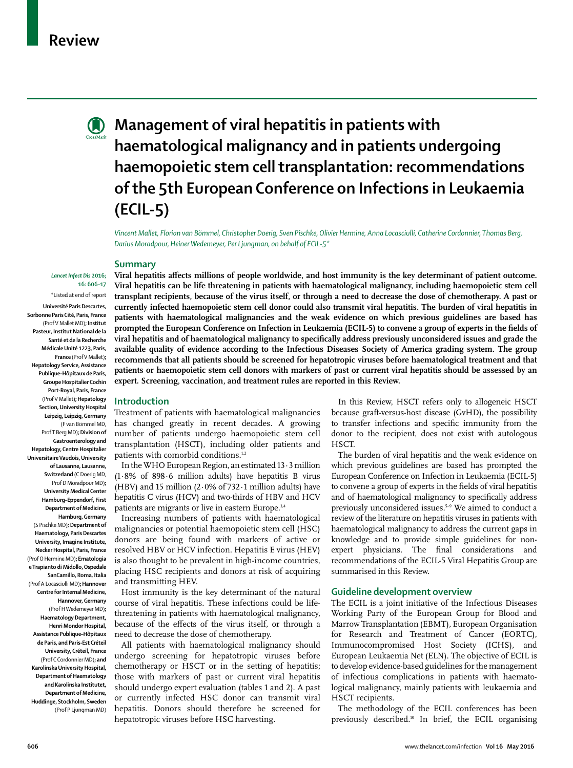# **Review**



**Management of viral hepatitis in patients with haematological malignancy and in patients undergoing haemopoietic stem cell transplantation: recommendations of the 5th European Conference on Infections in Leukaemia (ECIL-5)**

*Vincent Mallet, Florian van Bömmel, Christopher Doerig, Sven Pischke, Olivier Hermine, Anna Locasciulli, Catherine Cordonnier, Thomas Berg, Darius Moradpour, Heiner Wedemeyer, Per Ljungman, on behalf of ECIL-5\**

#### **Summary**

#### *Lancet Infect Dis* **2016; 16: 606–17**

\*Listed at end of report **Université Paris Descartes, Sorbonne Paris Cité, Paris, France**  (Prof V Mallet MD)**; Institut Pasteur, Institut National de la Santé et de la Recherche Médicale Unité 1223, Paris, France** (Prof V Mallet)**; Hepatology Service, Assistance Publique–Hôpitaux de Paris, Groupe Hospitalier Cochin Port-Royal, Paris, France** (Prof V Mallet)**;Hepatology Section, University Hospital Leipzig, Leipzig, Germany** (F van Bömmel MD, Prof T Berg MD); Division of **Gastroenterology and Hepatology, Centre Hospitalier Universitaire Vaudois, University of Lausanne, Lausanne, Switzerland** (C Doerig MD, Prof D Moradpour MD)**; University Medical Center Hamburg–Eppendorf, First Department of Medicine, Hamburg, Germany** (S Pischke MD)**; Department of Haematology, Paris Descartes University, Imagine Institute, Necker Hospital, Paris, France** (Prof O Hermine MD)**; Ematologia e Trapianto di Midollo, Ospedale SanCamillo, Roma, Italia** (Prof A Locasciulli MD)**;Hannover Centre for Internal Medicine, Hannover, Germany**

(Prof H Wedemeyer MD)**; Haematology Department, Henri Mondor Hospital, Assistance Publique–Hôpitaux de Paris, and Paris-Est Créteil University, Créteil, France** (Prof C Cordonnier MD)**; and Karolinska University Hospital, Department of Haematology and Karolinska Institutet, Department of Medicine, Huddinge, Stockholm, Sweden** (Prof P Ljungman MD) Viral hepatitis affects millions of people worldwide, and host immunity is the key determinant of patient outcome. **Viral hepatitis can be life threatening in patients with haematological malignancy, including haemopoietic stem cell transplant recipients, because of the virus itself, or through a need to decrease the dose of chemotherapy. A past or currently infected haemopoietic stem cell donor could also transmit viral hepatitis. The burden of viral hepatitis in patients with haematological malignancies and the weak evidence on which previous guidelines are based has**  prompted the European Conference on Infection in Leukaemia (ECIL-5) to convene a group of experts in the fields of viral hepatitis and of haematological malignancy to specifically address previously unconsidered issues and grade the **available quality of evidence according to the Infectious Diseases Society of America grading system. The group recommends that all patients should be screened for hepatotropic viruses before haematological treatment and that patients or haemopoietic stem cell donors with markers of past or current viral hepatitis should be assessed by an expert. Screening, vaccination, and treatment rules are reported in this Review.**

#### **Introduction**

Treatment of patients with haematological malignancies has changed greatly in recent decades. A growing number of patients undergo haemopoietic stem cell transplantation (HSCT), including older patients and patients with comorbid conditions.<sup>1,2</sup>

In the WHO European Region, an estimated 13·3 million (1·8% of 898·6 million adults) have hepatitis B virus (HBV) and 15 million  $(2.0\% \text{ of } 732.1 \text{ million adults})$  have hepatitis C virus (HCV) and two-thirds of HBV and HCV patients are migrants or live in eastern Europe.<sup>3,4</sup>

Increasing numbers of patients with haematological malignancies or potential haemopoietic stem cell (HSC) donors are being found with markers of active or resolved HBV or HCV infection. Hepatitis E virus (HEV) is also thought to be prevalent in high-income countries, placing HSC recipients and donors at risk of acquiring and transmitting HEV.

Host immunity is the key determinant of the natural course of viral hepatitis. These infections could be lifethreatening in patients with haematological malignancy, because of the effects of the virus itself, or through a need to decrease the dose of chemotherapy.

All patients with haematological malignancy should undergo screening for hepatotropic viruses before chemotherapy or HSCT or in the setting of hepatitis; those with markers of past or current viral hepatitis should undergo expert evaluation (tables 1 and 2). A past or currently infected HSC donor can transmit viral hepatitis. Donors should therefore be screened for hepatotropic viruses before HSC harvesting.

In this Review, HSCT refers only to allogeneic HSCT because graft-versus-host disease (GvHD), the possibility to transfer infections and specific immunity from the donor to the recipient, does not exist with autologous HSCT.

The burden of viral hepatitis and the weak evidence on which previous guidelines are based has prompted the European Conference on Infection in Leukaemia (ECIL-5) to convene a group of experts in the fields of viral hepatitis and of haematological malignancy to specifically address previously unconsidered issues.<sup>5-9</sup> We aimed to conduct a review of the literature on hepatitis viruses in patients with haematological malignancy to address the current gaps in knowledge and to provide simple guidelines for nonexpert physicians. The final considerations and recommendations of the ECIL-5 Viral Hepatitis Group are summarised in this Review.

## **Guideline development overview**

The ECIL is a joint initiative of the Infectious Diseases Working Party of the European Group for Blood and Marrow Transplantation (EBMT), European Organisation for Research and Treatment of Cancer (EORTC), Immuno compromised Host Society (ICHS), and European Leukaemia Net (ELN). The objective of ECIL is to develop evidence-based guidelines for the management of infectious complications in patients with haematological malignancy, mainly patients with leukaemia and HSCT recipients.

The methodology of the ECIL conferences has been previously described.10 In brief, the ECIL organising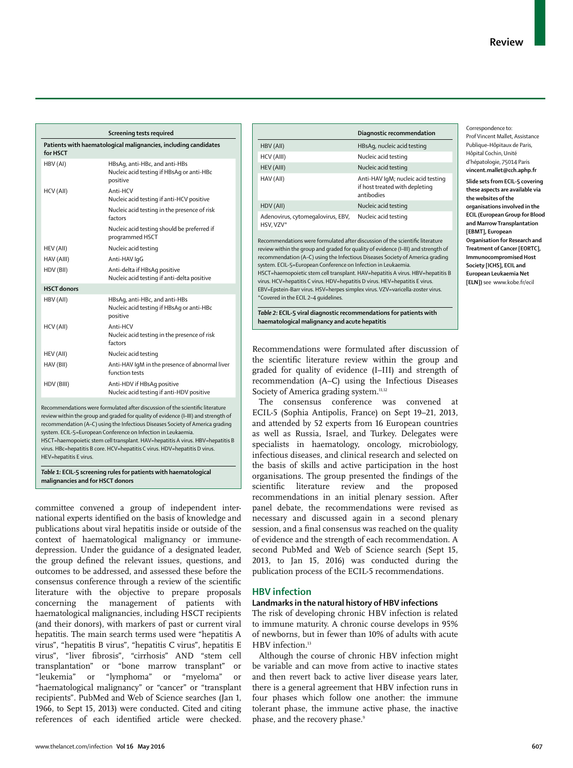|                                                                                                                                                                                                                                                                                                                                            | Screening tests required                                                               |  |  |  |
|--------------------------------------------------------------------------------------------------------------------------------------------------------------------------------------------------------------------------------------------------------------------------------------------------------------------------------------------|----------------------------------------------------------------------------------------|--|--|--|
| Patients with haematological malignancies, including candidates<br>for HSCT                                                                                                                                                                                                                                                                |                                                                                        |  |  |  |
| HBV (AI)                                                                                                                                                                                                                                                                                                                                   | HBsAq, anti-HBc, and anti-HBs<br>Nucleic acid testing if HBsAg or anti-HBc<br>positive |  |  |  |
| HCV (AII)                                                                                                                                                                                                                                                                                                                                  | Anti-HCV<br>Nucleic acid testing if anti-HCV positive                                  |  |  |  |
|                                                                                                                                                                                                                                                                                                                                            | Nucleic acid testing in the presence of risk<br>factors                                |  |  |  |
|                                                                                                                                                                                                                                                                                                                                            | Nucleic acid testing should be preferred if<br>programmed HSCT                         |  |  |  |
| HEV (AII)                                                                                                                                                                                                                                                                                                                                  | Nucleic acid testing                                                                   |  |  |  |
| HAV (AIII)                                                                                                                                                                                                                                                                                                                                 | Anti-HAV IqG                                                                           |  |  |  |
| HDV (BII)                                                                                                                                                                                                                                                                                                                                  | Anti-delta if HBsAq positive<br>Nucleic acid testing if anti-delta positive            |  |  |  |
| <b>HSCT</b> donors                                                                                                                                                                                                                                                                                                                         |                                                                                        |  |  |  |
| HBV (AII)                                                                                                                                                                                                                                                                                                                                  | HBsAq, anti-HBc, and anti-HBs<br>Nucleic acid testing if HBsAg or anti-HBc<br>positive |  |  |  |
| HCV (AII)                                                                                                                                                                                                                                                                                                                                  | Anti-HCV<br>Nucleic acid testing in the presence of risk<br>factors                    |  |  |  |
| HEV (AII)                                                                                                                                                                                                                                                                                                                                  | Nucleic acid testing                                                                   |  |  |  |
| HAV (BII)                                                                                                                                                                                                                                                                                                                                  | Anti-HAV IqM in the presence of abnormal liver<br>function tests                       |  |  |  |
| HDV (BIII)                                                                                                                                                                                                                                                                                                                                 | Anti-HDV if HBsAq positive<br>Nucleic acid testing if anti-HDV positive                |  |  |  |
| Recommendations were formulated after discussion of the scientific literature<br>$\mathcal{F} = \{x \in \mathcal{F} \mid x \in \mathcal{F} \}$ and the contract of the contract of the contract of the contract of the contract of the contract of the contract of the contract of the contract of the contract of the contract of the con |                                                                                        |  |  |  |

review within the group and graded for quality of evidence (I–III) and strength of recommendation (A–C) using the Infectious Diseases Society of America grading system. ECIL-5=European Conference on Infection in Leukaemia. HSCT=haemopoietic stem cell transplant. HAV=hepatitis A virus. HBV=hepatitis B virus. HBc=hepatitis B core. HCV=hepatitis C virus. HDV=hepatitis D virus. HEV=hepatitis E virus.

*Table 1:* **ECIL-5 screening rules for patients with haematological malignancies and for HSCT donors**

committee convened a group of independent international experts identified on the basis of knowledge and publications about viral hepatitis inside or outside of the context of haematological malignancy or immunedepression. Under the guidance of a designated leader, the group defined the relevant issues, questions, and outcomes to be addressed, and assessed these before the consensus conference through a review of the scientific literature with the objective to prepare proposals concerning the management of patients with haematological malignancies, including HSCT recipients (and their donors), with markers of past or current viral hepatitis. The main search terms used were "hepatitis A virus", "hepatitis B virus", "hepatitis C virus", hepatitis E virus", "liver fibrosis", "cirrhosis" AND "stem cell transplantation" or "bone marrow transplant" or "leukemia" or "lymphoma" or "myeloma" or "haematological malignancy" or "cancer" or "transplant recipients". PubMed and Web of Science searches (Jan 1, 1966, to Sept 15, 2013) were conducted. Cited and citing references of each identified article were checked.

|                                                                                                                                                                     | Diagnostic recommendation                                                          |  |  |  |
|---------------------------------------------------------------------------------------------------------------------------------------------------------------------|------------------------------------------------------------------------------------|--|--|--|
| HBV (AII)                                                                                                                                                           | HBsAg, nucleic acid testing                                                        |  |  |  |
| HCV (AIII)                                                                                                                                                          | Nucleic acid testing                                                               |  |  |  |
| HEV (AIII)                                                                                                                                                          | Nucleic acid testing                                                               |  |  |  |
| HAV (AII)                                                                                                                                                           | Anti-HAV IqM; nucleic acid testing<br>if host treated with depleting<br>antibodies |  |  |  |
| HDV (All)                                                                                                                                                           | Nucleic acid testing                                                               |  |  |  |
| Adenovirus, cytomegalovirus, EBV,<br>HSV, VZV*                                                                                                                      | Nucleic acid testing                                                               |  |  |  |
| Recommendations were formulated after discussion of the scientific literature<br>review within the group and graded for guality of evidence (I-III) and strength of |                                                                                    |  |  |  |

recommendation (A–C) using the Infectious Diseases Society of America grading system. ECIL-5=European Conference on Infection in Leukaemia. HSCT=haemopoietic stem cell transplant. HAV=hepatitis A virus. HBV=hepatitis B virus. HCV=hepatitis C virus. HDV=hepatitis D virus. HEV=hepatitis E virus. EBV=Epstein-Barr virus. HSV=herpes simplex virus. VZV=varicella-zoster virus. \*Covered in the ECIL 2–4 guidelines.

*Table 2:* **ECIL-5 viral diagnostic recommendations for patients with haematological malignancy and acute hepatitis**

Recommendations were formulated after discussion of the scientific literature review within the group and graded for quality of evidence (I–III) and strength of recommendation (A–C) using the Infectious Diseases Society of America grading system.<sup>11,12</sup>

The consensus conference was convened at ECIL-5 (Sophia Antipolis, France) on Sept 19–21, 2013, and attended by 52 experts from 16 European countries as well as Russia, Israel, and Turkey. Delegates were specialists in haematology, oncology, microbiology, infectious diseases, and clinical research and selected on the basis of skills and active participation in the host organisations. The group presented the findings of the scientific literature review and the proposed recommendations in an initial plenary session. After panel debate, the recommendations were revised as necessary and discussed again in a second plenary session, and a final consensus was reached on the quality of evidence and the strength of each recommendation. A second PubMed and Web of Science search (Sept 15, 2013, to Jan 15, 2016) was conducted during the publication process of the ECIL-5 recommendations.

## **HBV infection**

## **Landmarks in the natural history of HBV infections**

The risk of developing chronic HBV infection is related to immune maturity. A chronic course develops in 95% of newborns, but in fewer than 10% of adults with acute HBV infection.<sup>13</sup>

Although the course of chronic HBV infection might be variable and can move from active to inactive states and then revert back to active liver disease years later, there is a general agreement that HBV infection runs in four phases which follow one another: the immune tolerant phase, the immune active phase, the inactive phase, and the recovery phase.<sup>9</sup>

Correspondence to: Prof Vincent Mallet, Assistance Publique–Hôpitaux de Paris, Hôpital Cochin, Unité d'hépatologie, 75014 Paris **vincent.mallet@cch.aphp.fr**

**Slide sets from ECIL-5 covering these aspects are available via the websites of the organisations involved in the ECIL (European Group for Blood and Marrow Transplantation [EBMT], European Organisation for Research and Treatment of Cancer [EORTC], Immunocompromised Host Society [ICHS], ECIL and European Leukaemia Net [ELN])** see www.kobe.fr/ecil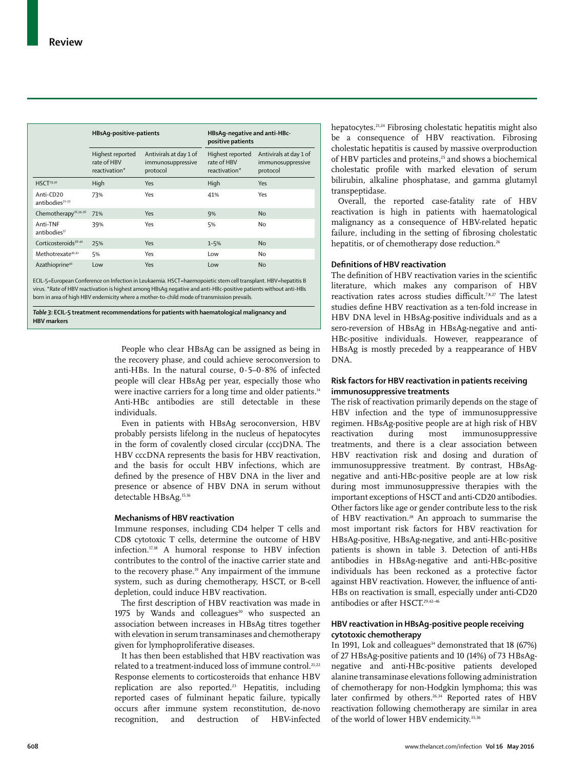|                                                      | HBsAq-positive-patients                          |                                                         | HBsAq-negative and anti-HBc-<br>positive patients |                                                         |
|------------------------------------------------------|--------------------------------------------------|---------------------------------------------------------|---------------------------------------------------|---------------------------------------------------------|
|                                                      | Highest reported<br>rate of HBV<br>reactivation* | Antivirals at day 1 of<br>immunosuppressive<br>protocol | Highest reported<br>rate of HBV<br>reactivation*  | Antivirals at day 1 of<br>immunosuppressive<br>protocol |
| $H$ SCT <sup>29,30</sup>                             | High                                             | Yes                                                     | High                                              | Yes                                                     |
| Anti-CD <sub>20</sub><br>antibodies <sup>31-33</sup> | 73%                                              | Yes                                                     | 41%                                               | Yes                                                     |
| Chemotherapy <sup>26,34-36</sup>                     | 71%                                              | Yes                                                     | 9%                                                | <b>No</b>                                               |
| Anti-TNF<br>antibodies <sup>37</sup>                 | 39%                                              | Yes                                                     | 5%                                                | No                                                      |
| Corticosteroids <sup>38-40</sup>                     | 25%                                              | Yes                                                     | $1 - 5%$                                          | <b>No</b>                                               |
| Methotrexate <sup>40,41</sup>                        | 5%                                               | Yes                                                     | Low                                               | No                                                      |
| Azathioprine <sup>40</sup>                           | Low                                              | Yes                                                     | Low                                               | <b>No</b>                                               |

ECIL-5=European Conference on Infection in Leukaemia. HSCT=haemopoietic stem cell transplant. HBV=hepatitis B virus. \*Rate of HBV reactivation is highest among HBsAg negative and anti-HBc-positive patients without anti-HBs born in area of high HBV endemicity where a mother-to-child mode of transmission prevails.

*Table 3:* **ECIL-5 treatment recommendations for patients with haematological malignancy and HBV markers**

> People who clear HBsAg can be assigned as being in the recovery phase, and could achieve seroconversion to anti-HBs. In the natural course,  $0.5-0.8\%$  of infected people will clear HBsAg per year, especially those who were inactive carriers for a long time and older patients.<sup>14</sup> Anti-HBc antibodies are still detectable in these individuals.

> Even in patients with HBsAg seroconversion, HBV probably persists lifelong in the nucleus of hepatocytes in the form of covalently closed circular (ccc)DNA. The HBV cccDNA represents the basis for HBV reactivation, and the basis for occult HBV infections, which are defined by the presence of HBV DNA in the liver and presence or absence of HBV DNA in serum without detectable HBsAg.15,16

## **Mechanisms of HBV reactivation**

Immune responses, including CD4 helper T cells and CD8 cytotoxic T cells, determine the outcome of HBV infection.17,18 A humoral response to HBV infection contributes to the control of the inactive carrier state and to the recovery phase.<sup>19</sup> Any impairment of the immune system, such as during chemotherapy, HSCT, or B-cell depletion, could induce HBV reactivation.

The first description of HBV reactivation was made in 1975 by Wands and colleagues<sup>20</sup> who suspected an association between increases in HBsAg titres together with elevation in serum transaminases and chemotherapy given for lymphoproliferative diseases.

It has then been established that HBV reactivation was related to a treatment-induced loss of immune control.<sup>21,22</sup> Response elements to corticosteroids that enhance HBV replication are also reported.<sup>23</sup> Hepatitis, including reported cases of fulminant hepatic failure, typically occurs after immune system reconstitution, de-novo recognition, and destruction of HBV-infected hepatocytes.21,24 Fibrosing cholestatic hepatitis might also be a consequence of HBV reactivation. Fibrosing cholestatic hepatitis is caused by massive overproduction of HBV particles and proteins,<sup>25</sup> and shows a biochemical cholestatic profile with marked elevation of serum bilirubin, alkaline phosphatase, and gamma glutamyl transpeptidase.

Overall, the reported case-fatality rate of HBV reactivation is high in patients with haematological malignancy as a consequence of HBV-related hepatic failure, including in the setting of fibrosing cholestatic hepatitis, or of chemotherapy dose reduction.<sup>26</sup>

## **Defi nitions of HBV reactivation**

The definition of HBV reactivation varies in the scientific literature, which makes any comparison of HBV reactivation rates across studies difficult.<sup>7,8,27</sup> The latest studies define HBV reactivation as a ten-fold increase in HBV DNA level in HBsAg-positive individuals and as a sero-reversion of HBsAg in HBsAg-negative and anti-HBc-positive individuals. However, reappearance of HBsAg is mostly preceded by a reappearance of HBV DNA.

## **Risk factors for HBV reactivation in patients receiving immunosuppressive treatments**

The risk of reactivation primarily depends on the stage of HBV infection and the type of immunosuppressive regimen. HBsAg-positive people are at high risk of HBV reactivation during most immunosuppressive treatments, and there is a clear association between HBV reactivation risk and dosing and duration of immunosuppressive treatment. By contrast, HBsAgnegative and anti-HBc-positive people are at low risk during most immunosuppressive therapies with the important exceptions of HSCT and anti-CD20 antibodies. Other factors like age or gender contribute less to the risk of HBV reactivation.<sup>28</sup> An approach to summarise the most important risk factors for HBV reactivation for HBsAg-positive, HBsAg-negative, and anti-HBc-positive patients is shown in table 3. Detection of anti-HBs antibodies in HBsAg-negative and anti-HBc-positive individuals has been reckoned as a protective factor against HBV reactivation. However, the influence of anti-HBs on reactivation is small, especially under anti-CD20 antibodies or after HSCT.<sup>29,42-46</sup>

## **HBV reactivation in HBsAg-positive people receiving cytotoxic chemotherapy**

In 1991, Lok and colleagues<sup>34</sup> demonstrated that 18 (67%) of 27 HBsAg-positive patients and 10 (14%) of 73 HBsAgnegative and anti-HBc-positive patients developed alanine transaminase elevations following administration of chemotherapy for non-Hodgkin lymphoma; this was later confirmed by others.<sup>26,34</sup> Reported rates of HBV reactivation following chemotherapy are similar in area of the world of lower HBV endemicity.<sup>35,36</sup>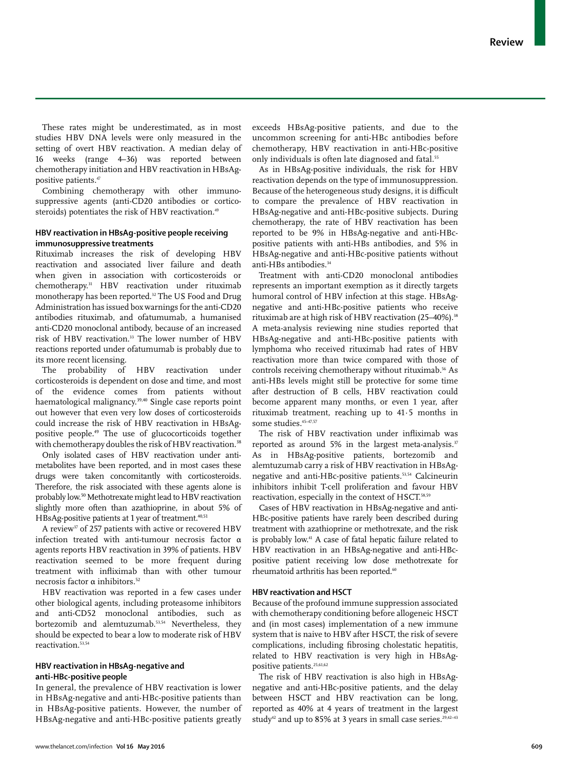These rates might be underestimated, as in most studies HBV DNA levels were only measured in the setting of overt HBV reactivation. A median delay of 16 weeks (range 4–36) was reported between chemotherapy initiation and HBV reactivation in HBsAgpositive patients.47

Combining chemotherapy with other immunosuppressive agents (anti-CD20 antibodies or corticosteroids) potentiates the risk of HBV reactivation.<sup>49</sup>

## **HBV reactivation in HBsAg-positive people receiving immunosuppressive treatments**

Rituximab increases the risk of developing HBV reactivation and associated liver failure and death when given in association with corticosteroids or chemotherapy.<sup>31</sup> HBV reactivation under rituximab monotherapy has been reported.<sup>32</sup> The US Food and Drug Administration has issued box warnings for the anti-CD20 antibodies rituximab, and ofatumumab, a humanised anti-CD20 monoclonal antibody, because of an increased risk of HBV reactivation.<sup>33</sup> The lower number of HBV reactions reported under ofatumumab is probably due to its more recent licensing.

The probability of HBV reactivation under corticosteroids is dependent on dose and time, and most of the evidence comes from patients without haematological malignancy.<sup>39,40</sup> Single case reports point out however that even very low doses of corticosteroids could increase the risk of HBV reactivation in HBsAgpositive people.49 The use of glucocorticoids together with chemotherapy doubles the risk of HBV reactivation.<sup>38</sup>

Only isolated cases of HBV reactivation under antimetabolites have been reported, and in most cases these drugs were taken concomitantly with corticosteroids. Therefore, the risk associated with these agents alone is probably low. 50 Methotrexate might lead to HBV reactivation slightly more often than azathioprine, in about 5% of HBsAg-positive patients at 1 year of treatment.<sup>40,51</sup>

A review<sup>37</sup> of 257 patients with active or recovered HBV infection treated with anti-tumour necrosis factor α agents reports HBV reactivation in 39% of patients. HBV reactivation seemed to be more frequent during treatment with infliximab than with other tumour necrosis factor  $α$  inhibitors.<sup>52</sup>

HBV reactivation was reported in a few cases under other biological agents, including proteasome inhibitors and anti-CD52 monoclonal antibodies, such as bortezomib and alemtuzumab.<sup>53,54</sup> Nevertheless, they should be expected to bear a low to moderate risk of HBV reactivation.53,54

## **HBV reactivation in HBsAg-negative and anti-HBc-positive people**

In general, the prevalence of HBV reactivation is lower in HBsAg-negative and anti-HBc-positive patients than in HBsAg-positive patients. However, the number of HBsAg-negative and anti-HBc-positive patients greatly exceeds HBsAg-positive patients, and due to the uncommon screening for anti-HBc antibodies before chemotherapy, HBV reactivation in anti-HBc-positive only individuals is often late diagnosed and fatal.<sup>55</sup>

As in HBsAg-positive individuals, the risk for HBV reactivation depends on the type of immunosuppression. Because of the heterogeneous study designs, it is difficult to compare the prevalence of HBV reactivation in HBsAg-negative and anti-HBc-positive subjects. During chemotherapy, the rate of HBV reactivation has been reported to be 9% in HBsAg-negative and anti-HBcpositive patients with anti-HBs antibodies, and 5% in HBsAg-negative and anti-HBc-positive patients without anti-HBs antibodies.34

Treatment with anti-CD20 monoclonal antibodies represents an important exemption as it directly targets humoral control of HBV infection at this stage. HBsAgnegative and anti-HBc-positive patients who receive rituximab are at high risk of HBV reactivation (25–40%).<sup>38</sup> A meta-analysis reviewing nine studies reported that HBsAg-negative and anti-HBc-positive patients with lymphoma who received rituximab had rates of HBV reactivation more than twice compared with those of controls receiving chemotherapy without rituximab.<sup>56</sup> As anti-HBs levels might still be protective for some time after destruction of B cells, HBV reactivation could become apparent many months, or even 1 year, after rituximab treatment, reaching up to  $41.5$  months in some studies.<sup>45-47,57</sup>

The risk of HBV reactivation under infliximab was reported as around 5% in the largest meta-analysis.<sup>37</sup> As in HBsAg-positive patients, bortezomib and alemtuzumab carry a risk of HBV reactivation in HBsAgnegative and anti-HBc-positive patients.53,54 Calcineurin inhibitors inhibit T-cell proliferation and favour HBV reactivation, especially in the context of HSCT.<sup>58,59</sup>

Cases of HBV reactivation in HBsAg-negative and anti-HBc-positive patients have rarely been described during treatment with azathioprine or methotrexate, and the risk is probably low.<sup>41</sup> A case of fatal hepatic failure related to HBV reactivation in an HBsAg-negative and anti-HBcpositive patient receiving low dose methotrexate for rheumatoid arthritis has been reported.<sup>60</sup>

## **HBV reactivation and HSCT**

Because of the profound immune suppression associated with chemotherapy conditioning before allogeneic HSCT and (in most cases) implementation of a new immune system that is naive to HBV after HSCT, the risk of severe complications, including fibrosing cholestatic hepatitis, related to HBV reactivation is very high in HBsAgpositive patients.<sup>25,61,62</sup>

The risk of HBV reactivation is also high in HBsAgnegative and anti-HBc-positive patients, and the delay between HSCT and HBV reactivation can be long, reported as 40% at 4 years of treatment in the largest study<sup>42</sup> and up to 85% at 3 years in small case series.<sup>29,42-43</sup>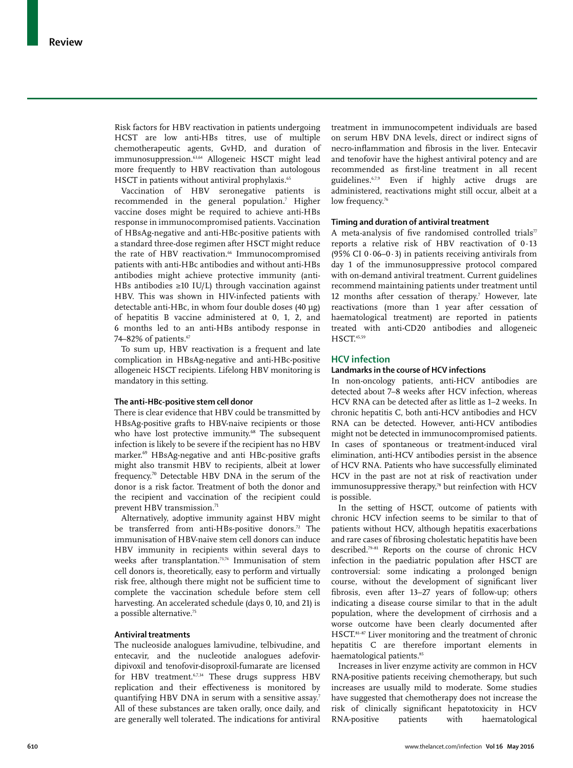Risk factors for HBV reactivation in patients undergoing HCST are low anti-HBs titres, use of multiple chemotherapeutic agents, GvHD, and duration of immuno suppression.<sup>63,64</sup> Allogeneic HSCT might lead more frequently to HBV reactivation than autologous HSCT in patients without antiviral prophylaxis.<sup>65</sup>

Vaccination of HBV seronegative patients is recommended in the general population.7 Higher vaccine doses might be required to achieve anti-HBs response in immuno compromised patients. Vaccination of HBsAg-negative and anti-HBc-positive patients with a standard three-dose regimen after HSCT might reduce the rate of HBV reactivation.<sup>66</sup> Immunocompromised patients with anti-HBc antibodies and without anti-HBs antibodies might achieve protective immunity (anti-HBs antibodies  $\geq 10$  IU/L) through vaccination against HBV. This was shown in HIV-infected patients with detectable anti-HBc, in whom four double doses (40 μg) of hepatitis B vaccine administered at 0, 1, 2, and 6 months led to an anti-HBs antibody response in 74–82% of patients.<sup>67</sup>

To sum up, HBV reactivation is a frequent and late complication in HBsAg-negative and anti-HBc-positive allogeneic HSCT recipients. Lifelong HBV monitoring is mandatory in this setting.

## **The anti-HBc-positive stem cell donor**

There is clear evidence that HBV could be transmitted by HBsAg-positive grafts to HBV-naive recipients or those who have lost protective immunity.<sup>68</sup> The subsequent infection is likely to be severe if the recipient has no HBV marker.<sup>69</sup> HBsAg-negative and anti HBc-positive grafts might also transmit HBV to recipients, albeit at lower frequency.70 Detectable HBV DNA in the serum of the donor is a risk factor. Treatment of both the donor and the recipient and vaccination of the recipient could prevent HBV transmission.<sup>71</sup>

Alternatively, adoptive immunity against HBV might be transferred from anti-HBs-positive donors.<sup>72</sup> The immunisation of HBV-naive stem cell donors can induce HBV immunity in recipients within several days to weeks after transplantation.73,74 Immunisation of stem cell donors is, theoretically, easy to perform and virtually risk free, although there might not be sufficient time to complete the vaccination schedule before stem cell harvesting. An accelerated schedule (days 0, 10, and 21) is a possible alternative.<sup>75</sup>

### **Antiviral treatments**

The nucleoside analogues lamivudine, telbivudine, and entecavir, and the nucleotide analogues adefovirdipivoxil and tenofovir-disoproxil-fumarate are licensed for HBV treatment.<sup>6,7,34</sup> These drugs suppress HBV replication and their effectiveness is monitored by quantifying HBV DNA in serum with a sensitive assay.<sup>7</sup> All of these substances are taken orally, once daily, and are generally well tolerated. The indications for antiviral treatment in immunocompetent individuals are based on serum HBV DNA levels, direct or indirect signs of necro-inflammation and fibrosis in the liver. Entecavir and tenofovir have the highest antiviral potency and are recommended as first-line treatment in all recent guidelines.6,7,9 Even if highly active drugs are administered, reactivations might still occur, albeit at a low frequency.<sup>76</sup>

## **Timing and duration of antiviral treatment**

A meta-analysis of five randomised controlled trials<sup>77</sup> reports a relative risk of HBV reactivation of 0·13 (95% CI  $0.06-0.3$ ) in patients receiving antivirals from day 1 of the immunosuppressive protocol compared with on-demand antiviral treatment. Current guidelines recommend maintaining patients under treatment until 12 months after cessation of therapy.<sup>7</sup> However, late reactivations (more than 1 year after cessation of haematological treatment) are reported in patients treated with anti-CD20 antibodies and allogeneic  $H$ SCT  $45,59$ 

#### **HCV infection**

#### **Landmarks in the course of HCV infections**

In non-oncology patients, anti-HCV antibodies are detected about 7–8 weeks after HCV infection, whereas HCV RNA can be detected after as little as 1–2 weeks. In chronic hepatitis C, both anti-HCV antibodies and HCV RNA can be detected. However, anti-HCV antibodies might not be detected in immunocompromised patients. In cases of spontaneous or treatment-induced viral elimination, anti-HCV antibodies persist in the absence of HCV RNA. Patients who have successfully eliminated HCV in the past are not at risk of reactivation under immunosuppressive therapy,<sup>78</sup> but reinfection with HCV is possible.

In the setting of HSCT, outcome of patients with chronic HCV infection seems to be similar to that of patients without HCV, although hepatitis exacerbations and rare cases of fibrosing cholestatic hepatitis have been described.79–81 Reports on the course of chronic HCV infection in the paediatric population after HSCT are controversial: some indicating a prolonged benign course, without the development of significant liver fibrosis, even after 13-27 years of follow-up; others indicating a disease course similar to that in the adult population, where the development of cirrhosis and a worse outcome have been clearly documented after HSCT.81–87 Liver monitoring and the treatment of chronic hepatitis C are therefore important elements in haematological patients.<sup>85</sup>

Increases in liver enzyme activity are common in HCV RNA-positive patients receiving chemotherapy, but such increases are usually mild to moderate. Some studies have suggested that chemotherapy does not increase the risk of clinically significant hepatotoxicity in HCV RNA-positive patients with haematological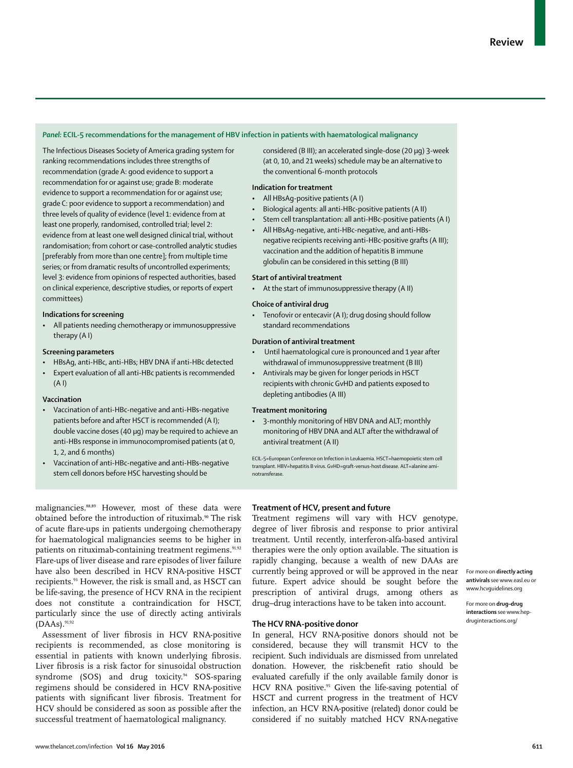#### *Panel:* **ECIL-5 recommendations for the management of HBV infection in patients with haematological malignancy**

The Infectious Diseases Society of America grading system for ranking recommendations includes three strengths of recommendation (grade A: good evidence to support a recommendation for or against use; grade B: moderate evidence to support a recommendation for or against use; grade C: poor evidence to support a recommendation) and three levels of quality of evidence (level 1: evidence from at least one properly, randomised, controlled trial; level 2: evidence from at least one well designed clinical trial, without randomisation; from cohort or case-controlled analytic studies [preferably from more than one centre]; from multiple time series; or from dramatic results of uncontrolled experiments; level 3: evidence from opinions of respected authorities, based on clinical experience, descriptive studies, or reports of expert committees)

#### **Indications for screening**

• All patients needing chemotherapy or immunosuppressive therapy (A I)

## **Screening parameters**

- HBsAg, anti-HBc, anti-HBs; HBV DNA if anti-HBc detected
- Expert evaluation of all anti-HBc patients is recommended (A I)

## **Vaccination**

- Vaccination of anti-HBc-negative and anti-HBs-negative patients before and after HSCT is recommended (A I); double vaccine doses (40 μg) may be required to achieve an anti-HBs response in immunocompromised patients (at 0, 1, 2, and 6 months)
- Vaccination of anti-HBc-negative and anti-HBs-negative stem cell donors before HSC harvesting should be

malignancies.<sup>88,89</sup> However, most of these data were obtained before the introduction of rituximab.<sup>90</sup> The risk of acute flare-ups in patients undergoing chemotherapy for haematological malignancies seems to be higher in patients on rituximab-containing treatment regimens.<sup>91,92</sup> Flare-ups of liver disease and rare episodes of liver failure have also been described in HCV RNA-positive HSCT recipients.93 However, the risk is small and, as HSCT can be life-saving, the presence of HCV RNA in the recipient does not constitute a contraindication for HSCT, particularly since the use of directly acting antivirals considered (B III); an accelerated single-dose (20 μg) 3-week (at 0, 10, and 21 weeks) schedule may be an alternative to the conventional 6-month protocols

## **Indication for treatment**

- All HBsAg-positive patients (A I)
- Biological agents: all anti-HBc-positive patients (A II)
- Stem cell transplantation: all anti-HBc-positive patients (A I)
- All HBsAg-negative, anti-HBc-negative, and anti-HBsnegative recipients receiving anti-HBc-positive grafts (A III); vaccination and the addition of hepatitis B immune globulin can be considered in this setting (B III)

#### **Start of antiviral treatment**

At the start of immunosuppressive therapy (A II)

### **Choice of antiviral drug**

Tenofovir or entecavir (A I); drug dosing should follow standard recommendations

#### **Duration of antiviral treatment**

- Until haematological cure is pronounced and 1 year after withdrawal of immunosuppressive treatment (B III)
- Antivirals may be given for longer periods in HSCT recipients with chronic GvHD and patients exposed to depleting antibodies (A III)

#### **Treatment monitoring**

• 3-monthly monitoring of HBV DNA and ALT; monthly monitoring of HBV DNA and ALT after the withdrawal of antiviral treatment (A II)

ECIL-5=European Conference on Infection in Leukaemia. HSCT=haemopoietic stem cell transplant. HBV=hepatitis B virus. GvHD=graft-versus-host disease. ALT=alanine aminotransferase.

## **Treatment of HCV, present and future**

Treatment regimens will vary with HCV genotype, degree of liver fibrosis and response to prior antiviral treatment. Until recently, interferon-alfa-based antiviral therapies were the only option available. The situation is rapidly changing, because a wealth of new DAAs are currently being approved or will be approved in the near future. Expert advice should be sought before the prescription of antiviral drugs, among others as drug–drug interactions have to be taken into account.

#### **The HCV RNA-positive donor**

In general, HCV RNA-positive donors should not be considered, because they will transmit HCV to the recipient. Such individuals are dismissed from unrelated donation. However, the risk:benefit ratio should be evaluated carefully if the only available family donor is HCV RNA positive.<sup>95</sup> Given the life-saving potential of HSCT and current progress in the treatment of HCV infection, an HCV RNA-positive (related) donor could be considered if no suitably matched HCV RNA-negative

For more on **directly acting antivirals** see www.easl.eu or www.hcvauidelines.org

For more on **drug–drug interactions** see www.hepdruginteractions.org/

 $(DAAs).^{91,92}$ Assessment of liver fibrosis in HCV RNA-positive recipients is recommended, as close monitoring is essential in patients with known underlying fibrosis. Liver fibrosis is a risk factor for sinusoidal obstruction syndrome (SOS) and drug toxicity.<sup>94</sup> SOS-sparing regimens should be considered in HCV RNA-positive patients with significant liver fibrosis. Treatment for HCV should be considered as soon as possible after the successful treatment of haematological malignancy.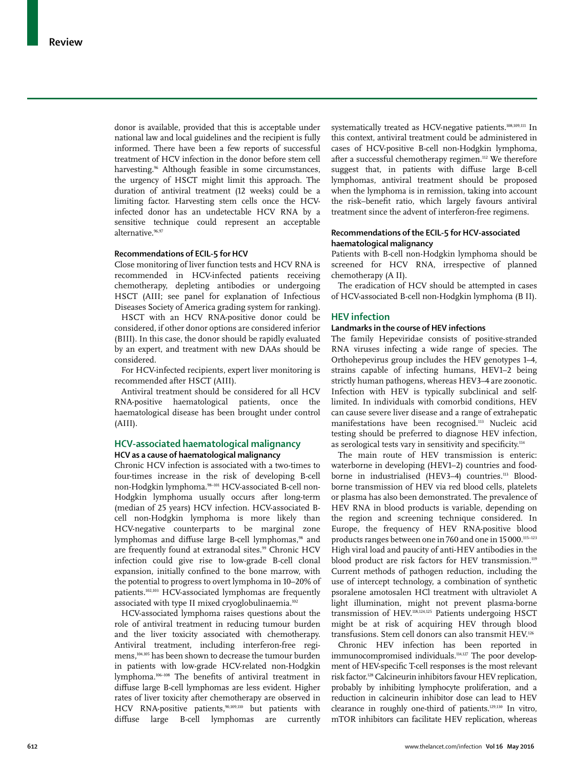donor is available, provided that this is acceptable under national law and local guidelines and the recipient is fully informed. There have been a few reports of successful treatment of HCV infection in the donor before stem cell harvesting.<sup>96</sup> Although feasible in some circumstances, the urgency of HSCT might limit this approach. The duration of antiviral treatment (12 weeks) could be a limiting factor. Harvesting stem cells once the HCVinfected donor has an undetectable HCV RNA by a sensitive technique could represent an acceptable alternative.<sup>96,97</sup>

## **Recommendations of ECIL-5 for HCV**

Close monitoring of liver function tests and HCV RNA is recommended in HCV-infected patients receiving chemo therapy, depleting antibodies or undergoing HSCT (AIII; see panel for explanation of Infectious Diseases Society of America grading system for ranking).

HSCT with an HCV RNA-positive donor could be considered, if other donor options are considered inferior (BIII). In this case, the donor should be rapidly evaluated by an expert, and treatment with new DAAs should be considered.

For HCV-infected recipients, expert liver monitoring is recommended after HSCT (AIII).

Antiviral treatment should be considered for all HCV RNA-positive haematological patients, once the haematological disease has been brought under control (AIII).

## **HCV-associated haematological malignancy HCV as a cause of haematological malignancy**

Chronic HCV infection is associated with a two-times to four-times increase in the risk of developing B-cell non-Hodgkin lymphoma.<sup>98-101</sup> HCV-associated B-cell non-Hodgkin lymphoma usually occurs after long-term (median of 25 years) HCV infection. HCV-associated Bcell non-Hodgkin lymphoma is more likely than HCV-negative counterparts to be marginal zone lymphomas and diffuse large B-cell lymphomas,<sup>98</sup> and are frequently found at extranodal sites.<sup>99</sup> Chronic HCV infection could give rise to low-grade B-cell clonal expansion, initially confined to the bone marrow, with the potential to progress to overt lymphoma in 10–20% of patients.102,103 HCV-associated lymphomas are frequently associated with type II mixed cryoglobulinaemia.<sup>102</sup>

HCV-associated lymphoma raises questions about the role of antiviral treatment in reducing tumour burden and the liver toxicity associated with chemotherapy. Antiviral treatment, including interferon-free regimens,104,105 has been shown to decrease the tumour burden in patients with low-grade HCV-related non-Hodgkin lymphoma.<sup>106-108</sup> The benefits of antiviral treatment in diffuse large B-cell lymphomas are less evident. Higher rates of liver toxicity after chemotherapy are observed in HCV RNA-positive patients,<sup>90,109,110</sup> but patients with diffuse large B-cell lymphomas are currently systematically treated as HCV-negative patients.<sup>108,109,111</sup> In this context, antiviral treatment could be administered in cases of HCV-positive B-cell non-Hodgkin lymphoma, after a successful chemotherapy regimen.<sup>112</sup> We therefore suggest that, in patients with diffuse large B-cell lymphomas, antiviral treatment should be proposed when the lymphoma is in remission, taking into account the risk-benefit ratio, which largely favours antiviral treatment since the advent of interferon-free regimens.

## **Recommendations of the ECIL-5 for HCV-associated haematological malignancy**

Patients with B-cell non-Hodgkin lymphoma should be screened for HCV RNA, irrespective of planned chemotherapy (A II).

The eradication of HCV should be attempted in cases of HCV-associated B-cell non-Hodgkin lymphoma (B II).

## **HEV infection**

## **Landmarks in the course of HEV infections**

The family Hepeviridae consists of positive-stranded RNA viruses infecting a wide range of species. The Orthohepevirus group includes the HEV genotypes 1–4, strains capable of infecting humans, HEV1–2 being strictly human pathogens, whereas HEV3–4 are zoonotic. Infection with HEV is typically subclinical and selflimited. In individuals with comorbid conditions, HEV can cause severe liver disease and a range of extrahepatic manifestations have been recognised.113 Nucleic acid testing should be preferred to diagnose HEV infection, as serological tests vary in sensitivity and specificity.<sup>114</sup>

The main route of HEV transmission is enteric: waterborne in developing (HEV1–2) countries and foodborne in industrialised (HEV3-4) countries.<sup>113</sup> Bloodborne transmission of HEV via red blood cells, platelets or plasma has also been demonstrated. The prevalence of HEV RNA in blood products is variable, depending on the region and screening technique considered. In Europe, the frequency of HEV RNA-positive blood products ranges between one in 760 and one in 15 000.<sup>115-123</sup> High viral load and paucity of anti-HEV antibodies in the blood product are risk factors for HEV transmission.<sup>119</sup> Current methods of pathogen reduction, including the use of intercept technology, a combination of synthetic psoralene amotosalen HCl treatment with ultraviolet A light illumination, might not prevent plasma-borne transmission of HEV.118,124,125 Patients undergoing HSCT might be at risk of acquiring HEV through blood transfusions. Stem cell donors can also transmit HEV.126

Chronic HEV infection has been reported in immunocompromised individuals.<sup>114,127</sup> The poor development of HEV-specific T-cell responses is the most relevant risk factor.128 Calcineurin inhibitors favour HEV replication, probably by inhibiting lymphocyte proliferation, and a reduction in calcineurin inhibitor dose can lead to HEV clearance in roughly one-third of patients.129,130 In vitro, mTOR inhibitors can facilitate HEV replication, whereas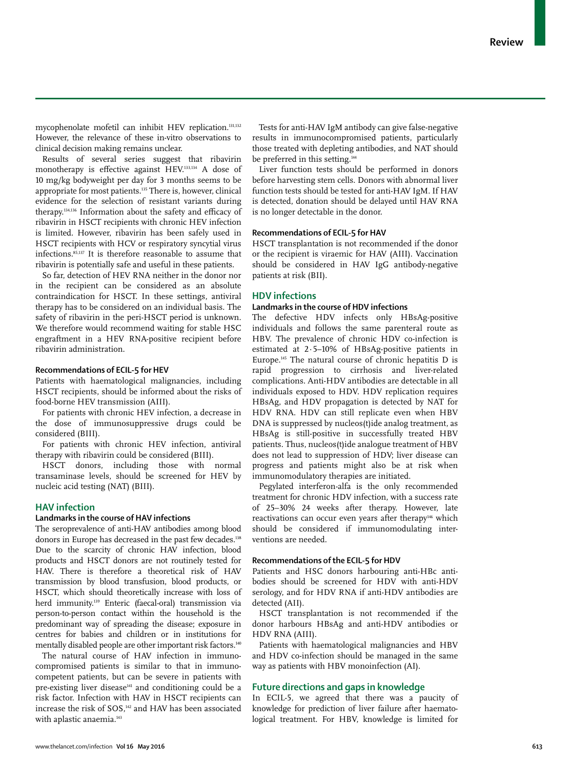mycophenolate mofetil can inhibit HEV replication.<sup>131,132</sup> However, the relevance of these in-vitro observations to clinical decision making remains unclear.

Results of several series suggest that ribavirin monotherapy is effective against HEV.<sup>133,134</sup> A dose of 10 mg/kg bodyweight per day for 3 months seems to be appropriate for most patients.135 There is, however, clinical evidence for the selection of resistant variants during therapy.<sup>134,136</sup> Information about the safety and efficacy of ribavirin in HSCT recipients with chronic HEV infection is limited. However, ribavirin has been safely used in HSCT recipients with HCV or respiratory syncytial virus infections.85,137 It is therefore reasonable to assume that ribavirin is potentially safe and useful in these patients.

So far, detection of HEV RNA neither in the donor nor in the recipient can be considered as an absolute contraindication for HSCT. In these settings, antiviral therapy has to be considered on an individual basis. The safety of ribavirin in the peri-HSCT period is unknown. We therefore would recommend waiting for stable HSC engraftment in a HEV RNA-positive recipient before ribavirin administration.

## **Recommendations of ECIL-5 for HEV**

Patients with haematological malignancies, including HSCT recipients, should be informed about the risks of food-borne HEV transmission (AIII).

For patients with chronic HEV infection, a decrease in the dose of immunosuppressive drugs could be considered (BIII).

For patients with chronic HEV infection, antiviral therapy with ribavirin could be considered (BIII).

HSCT donors, including those with normal transaminase levels, should be screened for HEV by nucleic acid testing (NAT) (BIII).

## **HAV infection**

## **Landmarks in the course of HAV infections**

The seroprevalence of anti-HAV antibodies among blood donors in Europe has decreased in the past few decades.<sup>138</sup> Due to the scarcity of chronic HAV infection, blood products and HSCT donors are not routinely tested for HAV. There is therefore a theoretical risk of HAV transmission by blood transfusion, blood products, or HSCT, which should theoretically increase with loss of herd immunity.139 Enteric (faecal-oral) transmission via person-to-person contact within the household is the predominant way of spreading the disease; exposure in centres for babies and children or in institutions for mentally disabled people are other important risk factors.140

The natural course of HAV infection in immunocompromised patients is similar to that in immunocompetent patients, but can be severe in patients with pre-existing liver disease<sup>141</sup> and conditioning could be a risk factor. Infection with HAV in HSCT recipients can increase the risk of SOS,<sup>142</sup> and HAV has been associated with aplastic anaemia.<sup>143</sup>

Tests for anti-HAV IgM antibody can give false-negative results in immunocompromised patients, particularly those treated with depleting antibodies, and NAT should be preferred in this setting.<sup>14</sup>

Liver function tests should be performed in donors before harvesting stem cells. Donors with abnormal liver function tests should be tested for anti-HAV IgM. If HAV is detected, donation should be delayed until HAV RNA is no longer detectable in the donor.

## **Recommendations of ECIL-5 for HAV**

HSCT transplantation is not recommended if the donor or the recipient is viraemic for HAV (AIII). Vaccination should be considered in HAV IgG antibody-negative patients at risk (BII).

## **HDV infections**

## **Landmarks in the course of HDV infections**

The defective HDV infects only HBsAg-positive individuals and follows the same parenteral route as HBV. The prevalence of chronic HDV co-infection is estimated at 2·5–10% of HBsAg-positive patients in Europe.145 The natural course of chronic hepatitis D is rapid progression to cirrhosis and liver-related complications. Anti-HDV antibodies are detectable in all individuals exposed to HDV. HDV replication requires HBsAg, and HDV propagation is detected by NAT for HDV RNA. HDV can still replicate even when HBV DNA is suppressed by nucleos(t)ide analog treatment, as HBsAg is still-positive in successfully treated HBV patients. Thus, nucleos(t)ide analogue treatment of HBV does not lead to suppression of HDV; liver disease can progress and patients might also be at risk when immunomodulatory therapies are initiated.

Pegylated interferon-alfa is the only recommended treatment for chronic HDV infection, with a success rate of 25–30% 24 weeks after therapy. However, late reactivations can occur even years after therapy<sup>146</sup> which should be considered if immunomodulating interventions are needed.

## **Recommendations of the ECIL-5 for HDV**

Patients and HSC donors harbouring anti-HBc antibodies should be screened for HDV with anti-HDV serology, and for HDV RNA if anti-HDV antibodies are detected (AII).

HSCT transplantation is not recommended if the donor harbours HBsAg and anti-HDV antibodies or HDV RNA (AIII).

Patients with haematological malignancies and HBV and HDV co-infection should be managed in the same way as patients with HBV monoinfection (AI).

## **Future directions and gaps in knowledge**

In ECIL-5, we agreed that there was a paucity of knowledge for prediction of liver failure after haematological treatment. For HBV, knowledge is limited for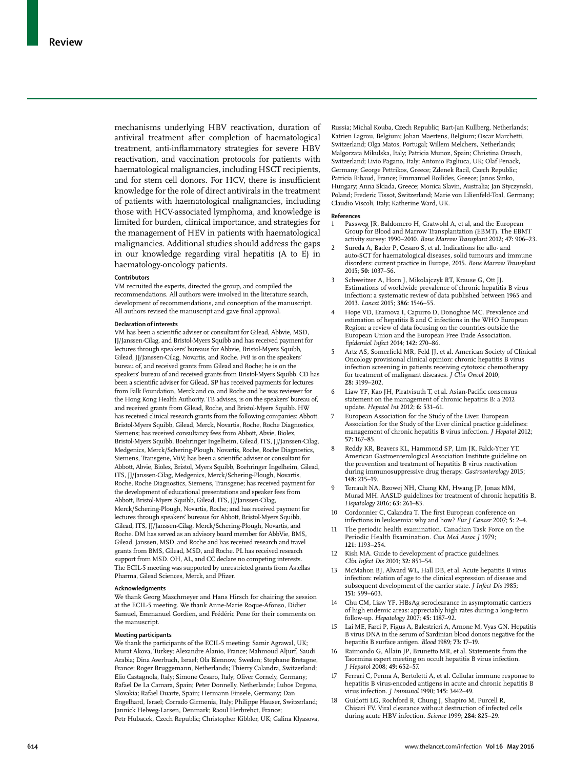mechanisms underlying HBV reactivation, duration of antiviral treatment after completion of haematological treatment, anti-inflammatory strategies for severe HBV reactivation, and vaccination protocols for patients with haematological malignancies, including HSCT recipients, and for stem cell donors. For HCV, there is insufficient knowledge for the role of direct antivirals in the treatment of patients with haematological malignancies, including those with HCV-associated lymphoma, and knowledge is limited for burden, clinical importance, and strategies for the management of HEV in patients with haematological malignancies. Additional studies should address the gaps in our knowledge regarding viral hepatitis (A to E) in haematology-oncology patients.

#### **Contributors**

VM recruited the experts, directed the group, and compiled the recommendations. All authors were involved in the literature search, development of recommendations, and conception of the manuscript. All authors revised the manuscript and gave final approval.

#### **Declaration of interests**

VM has been a scientific adviser or consultant for Gilead, Abbvie, MSD, JJ/Janssen-Cilag, and Bristol-Myers Squibb and has received payment for lectures through speakers' bureaus for Abbvie, Bristol-Myers Squibb, Gilead, JJ/Janssen-Cilag, Novartis, and Roche. FvB is on the speakers' bureau of, and received grants from Gilead and Roche; he is on the speakers' bureau of and received grants from Bristol-Myers Squibb. CD has been a scientific adviser for Gilead. SP has received payments for lectures from Falk Foundation, Merck and co, and Roche and he was reviewer for the Hong Kong Health Authority. TB advises, is on the speakers' bureau of, and received grants from Gilead, Roche, and Bristol-Myers Squibb. HW has received clinical research grants from the following companies: Abbott, Bristol-Myers Squibb, Gilead, Merck, Novartis, Roche, Roche Diagnostics, Siemens; has received consultancy fees from Abbott, Abvie, Biolex, Bristol-Myers Squibb, Boehringer Ingelheim, Gilead, ITS, JJ/Janssen-Cilag, Medgenics, Merck/Schering-Plough, Novartis, Roche, Roche Diagnostics, Siemens, Transgene, ViiV; has been a scientific adviser or consultant for Abbott, Abvie, Biolex, Bristol, Myers Squibb, Boehringer Ingelheim, Gilead, ITS, JJ/Janssen-Cilag, Medgenics, Merck/Schering-Plough, Novartis, Roche, Roche Diagnostics, Siemens, Transgene; has received payment for the development of educational presentations and speaker fees from Abbott, Bristol-Myers Squibb, Gilead, ITS, JJ/Janssen-Cilag, Merck/Schering-Plough, Novartis, Roche; and has received payment for lectures through speakers' bureaus for Abbott, Bristol-Myers Squibb, Gilead, ITS, JJ/Janssen-Cilag, Merck/Schering-Plough, Novartis, and Roche. DM has served as an advisory board member for AbbVie, BMS, Gilead, Janssen, MSD, and Roche and has received research and travel grants from BMS, Gilead, MSD, and Roche. PL has received research support from MSD, OH, AL, and CC declare no competing interests. The ECIL-5 meeting was supported by unrestricted grants from Astellas Pharma, Gilead Sciences, Merck, and Pfizer.

#### **Acknowledgments**

We thank Georg Maschmeyer and Hans Hirsch for chairing the session at the ECIL-5 meeting. We thank Anne-Marie Roque-Afonso, Didier Samuel, Emmanuel Gordien, and Frédéric Pene for their comments on the manuscript.

#### **Meeting participants**

We thank the participants of the ECIL-5 meeting: Samir Agrawal, UK; Murat Akova, Turkey; Alexandre Alanio, France; Mahmoud Aljurf, Saudi Arabia; Dina Averbuch, Israel; Ola Blennow, Sweden; Stephane Bretagne, France; Roger Bruggemann, Netherlands; Thierry Calandra, Switzerland; Elio Castagnola, Italy; Simone Cesaro, Italy; Oliver Cornely, Germany; Rafael De La Camara, Spain; Peter Donnelly, Netherlands; Lubos Drgona, Slovakia; Rafael Duarte, Spain; Hermann Einsele, Germany; Dan Engelhard, Israel; Corrado Girmenia, Italy; Philippe Hauser, Switzerland; Jannick Helweg-Larsen, Denmark; Raoul Herbrehct, France; Petr Hubacek, Czech Republic; Christopher Kibbler, UK; Galina Klyasova, Russia; Michal Kouba, Czech Republic; Bart-Jan Kullberg, Netherlands; Katrien Lagrou, Belgium; Johan Maertens, Belgium; Oscar Marchetti, Switzerland; Olga Matos, Portugal; Willem Melchers, Netherlands; Malgorzata Mikulska, Italy; Patricia Munoz, Spain; Christina Orasch, Switzerland; Livio Pagano, Italy; Antonio Pagliuca, UK; Olaf Penack, Germany; George Pettrikos, Greece; Zdenek Racil, Czech Republic; Patricia Ribaud, France; Emmanuel Roilides, Greece; Janos Sinko, Hungary; Anna Skiada, Greece; Monica Slavin, Australia; Jan Styczynski, Poland; Frederic Tissot, Switzerland; Marie von Lilienfeld-Toal, Germany; Claudio Viscoli, Italy; Katherine Ward, UK.

#### **References**

- Passweg JR, Baldomero H, Gratwohl A, et al, and the European Group for Blood and Marrow Transplantation (EBMT). The EBMT activity survey: 1990–2010. *Bone Marrow Transplant* 2012; **47:** 906–23.
- Sureda A, Bader P, Cesaro S, et al. Indications for allo- and auto-SCT for haematological diseases, solid tumours and immune disorders: current practice in Europe, 2015. *Bone Marrow Transplant* 2015; **50:** 1037–56.
- 3 Schweitzer A, Horn J, Mikolajczyk RT, Krause G, Ott JJ. Estimations of worldwide prevalence of chronic hepatitis B virus infection: a systematic review of data published between 1965 and 2013. *Lancet* 2015; **386:** 1546–55.
- 4 Hope VD, Eramova I, Capurro D, Donoghoe MC. Prevalence and estimation of hepatitis B and C infections in the WHO European Region: a review of data focusing on the countries outside the European Union and the European Free Trade Association. *Epidemiol Infect* 2014; **142:** 270–86.
- 5 Artz AS, Somerfield MR, Feld JJ, et al. American Society of Clinical Oncology provisional clinical opinion: chronic hepatitis B virus infection screening in patients receiving cytotoxic chemotherapy for treatment of malignant diseases. *J Clin Oncol* 2010; **28:** 3199–202.
- 6 Liaw YF, Kao JH, Piratvisuth T, et al. Asian-Pacific consensus statement on the management of chronic hepatitis B: a 2012 update. *Hepatol Int* 2012; **6:** 531–61.
- European Association for the Study of the Liver. European Association for the Study of the Liver clinical practice guidelines: management of chronic hepatitis B virus infection. *J Hepatol* 2012; **57:** 167–85.
- 8 Reddy KR, Beavers KL, Hammond SP, Lim JK, Falck-Ytter YT. American Gastroenterological Association Institute guideline on the prevention and treatment of hepatitis B virus reactivation during immunosuppressive drug therapy. *Gastroenterology* 2015; **148:** 215–19.
- 9 Terrault NA, Bzowej NH, Chang KM, Hwang JP, Jonas MM, Murad MH. AASLD guidelines for treatment of chronic hepatitis B. *Hepatology* 2016; **63:** 261–83.
- 10 Cordonnier C, Calandra T. The first European conference on infections in leukaemia: why and how? *Eur J Cancer* 2007; **5:** 2–4.
- The periodic health examination. Canadian Task Force on the Periodic Health Examination. *Can Med Assoc J* 1979; **121:** 1193–254.
- 12 Kish MA. Guide to development of practice guidelines. *Clin Infect Dis* 2001; **32:** 851–54.
- 13 McMahon BJ, Alward WL, Hall DB, et al. Acute hepatitis B virus infection: relation of age to the clinical expression of disease and subsequent development of the carrier state. *J Infect Dis* 1985; **151:** 599–603.
- 14 Chu CM, Liaw YF. HBsAg seroclearance in asymptomatic carriers of high endemic areas: appreciably high rates during a long-term follow-up. *Hepatology* 2007; **45:** 1187–92.
- 15 Lai ME, Farci P, Figus A, Balestrieri A, Arnone M, Vyas GN. Hepatitis B virus DNA in the serum of Sardinian blood donors negative for the hepatitis B surface antigen. *Blood* 1989; **73:** 17–19.
- 16 Raimondo G, Allain JP, Brunetto MR, et al. Statements from the Taormina expert meeting on occult hepatitis B virus infection. *J Hepatol* 2008; **49:** 652–57.
- 17 Ferrari C, Penna A, Bertoletti A, et al. Cellular immune response to hepatitis B virus-encoded antigens in acute and chronic hepatitis B virus infection. *J Immunol* 1990; **145:** 3442–49.
- 18 Guidotti LG, Rochford R, Chung J, Shapiro M, Purcell R, Chisari FV. Viral clearance without destruction of infected cells during acute HBV infection. *Science* 1999; **284:** 825–29.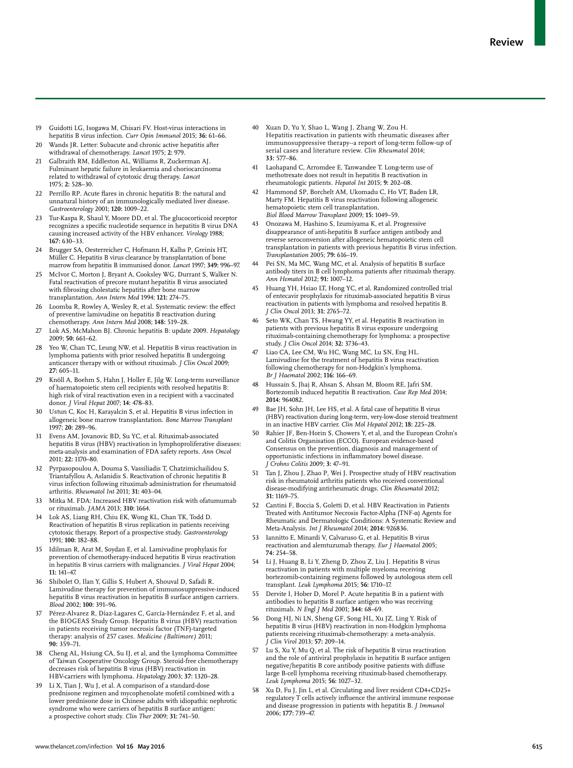- 19 Guidotti LG, Isogawa M, Chisari FV. Host-virus interactions in hepatitis B virus infection. *Curr Opin Immunol* 2015; **36:** 61–66.
- 20 Wands JR. Letter: Subacute and chronic active hepatitis after withdrawal of chemotherapy. *Lancet* 1975; **2:** 979.
- 21 Galbraith RM, Eddleston AL, Williams R, Zuckerman AJ. Fulminant hepatic failure in leukaemia and choriocarcinoma related to withdrawal of cytotoxic drug therapy. *Lancet* 1975; **2:** 528–30.
- 22 Perrillo RP. Acute flares in chronic hepatitis B: the natural and unnatural history of an immunologically mediated liver disease. *Gastroenterology* 2001; **120:** 1009–22.
- 23 Tur-Kaspa R, Shaul Y, Moore DD, et al. The glucocorticoid receptor recognizes a specific nucleotide sequence in hepatitis B virus DNA causing increased activity of the HBV enhancer. *Virology* 1988; **167:** 630–33.
- 24 Brugger SA, Oesterreicher C, Hofmann H, Kalhs P, Greinix HT, Müller C. Hepatitis B virus clearance by transplantation of bone marrow from hepatitis B immunised donor. *Lancet* 1997; **349:** 996–97.
- 25 McIvor C, Morton J, Bryant A, Cooksley WG, Durrant S, Walker N. Fatal reactivation of precore mutant hepatitis B virus associated with fibrosing cholestatic hepatitis after bone marrow transplantation. *Ann Intern Med* 1994; **121:** 274–75.
- 26 Loomba R, Rowley A, Wesley R, et al. Systematic review: the effect of preventive lamivudine on hepatitis B reactivation during chemotherapy. *Ann Intern Med* 2008; **148:** 519–28.
- 27 Lok AS, McMahon BJ. Chronic hepatitis B: update 2009. *Hepatology* 2009; **50:** 661–62.
- 28 Yeo W, Chan TC, Leung NW, et al. Hepatitis B virus reactivation in lymphoma patients with prior resolved hepatitis B undergoing anticancer therapy with or without rituximab. *J Clin Oncol* 2009; **27:** 605–11.
- 29 Knöll A, Boehm S, Hahn J, Holler E, Jilg W. Long-term surveillance of haematopoietic stem cell recipients with resolved hepatitis B: high risk of viral reactivation even in a recipient with a vaccinated donor. *J Viral Hepat* 2007; **14:** 478–83.
- 30 Ustun C, Koc H, Karayalcin S, et al. Hepatitis B virus infection in allogeneic bone marrow transplantation. *Bone Marrow Transplant*  1997; **20:** 289–96.
- 31 Evens AM, Jovanovic BD, Su YC, et al. Rituximab-associated hepatitis B virus (HBV) reactivation in lymphoproliferative diseases: meta-analysis and examination of FDA safety reports. *Ann Oncol* 2011; **22:** 1170–80.
- 32 Pyrpasopoulou A, Douma S, Vassiliadis T, Chatzimichailidou S, Triantafyllou A, Aslanidis S. Reactivation of chronic hepatitis B virus infection following rituximab administration for rheumatoid arthritis. *Rheumatol Int* 2011; **31:** 403–04.
- 33 Mitka M. FDA: Increased HBV reactivation risk with ofatumumab or rituximab. *JAMA* 2013; **310:** 1664.
- Lok AS, Liang RH, Chiu EK, Wong KL, Chan TK, Todd D. Reactivation of hepatitis B virus replication in patients receiving cytotoxic therapy. Report of a prospective study. *Gastroenterology* 1991; **100:** 182–88.
- 35 Idilman R, Arat M, Soydan E, et al. Lamivudine prophylaxis for prevention of chemotherapy-induced hepatitis B virus reactivation in hepatitis B virus carriers with malignancies. *J Viral Hepat* 2004; **11:** 141–47.
- 36 Shibolet O, Ilan Y, Gillis S, Hubert A, Shouval D, Safadi R. Lamivudine therapy for prevention of immunosuppressive-induced hepatitis B virus reactivation in hepatitis B surface antigen carriers. *Blood* 2002; **100:** 391–96.
- 37 Pérez-Alvarez R, Díaz-Lagares C, García-Hernández F, et al, and the BIOGEAS Study Group. Hepatitis B virus (HBV) reactivation in patients receiving tumor necrosis factor (TNF)-targeted therapy: analysis of 257 cases. *Medicine (Baltimore)* 2011; **90:** 359–71.
- 38 Cheng AL, Hsiung CA, Su IJ, et al, and the Lymphoma Committee of Taiwan Cooperative Oncology Group. Steroid-free chemotherapy decreases risk of hepatitis B virus (HBV) reactivation in HBV-carriers with lymphoma. *Hepatology* 2003; **37:** 1320–28.
- Li X, Tian J, Wu J, et al. A comparison of a standard-dose prednisone regimen and mycophenolate mofetil combined with a lower prednisone dose in Chinese adults with idiopathic nephrotic syndrome who were carriers of hepatitis B surface antigen: a prospective cohort study. *Clin Ther* 2009; **31:** 741–50.
- 40 Xuan D, Yu Y, Shao L, Wang J, Zhang W, Zou H. Hepatitis reactivation in patients with rheumatic diseases after immunosuppressive therapy--a report of long-term follow-up of serial cases and literature review. *Clin Rheumatol* 2014; **33:** 577–86.
- 41 Laohapand C, Arromdee E, Tanwandee T. Long-term use of methotrexate does not result in hepatitis B reactivation in rheumatologic patients. *Hepatol Int* 2015; **9:** 202–08.
- Hammond SP, Borchelt AM, Ukomadu C, Ho VT, Baden LR, Marty FM. Hepatitis B virus reactivation following allogeneic hematopoietic stem cell transplantation. *Biol Blood Marrow Transplant* 2009; **15:** 1049–59.
- 43 Onozawa M, Hashino S, Izumiyama K, et al. Progressive disappearance of anti-hepatitis B surface antigen antibody and reverse seroconversion after allogeneic hematopoietic stem cell transplantation in patients with previous hepatitis B virus infection. *Transplantation* 2005; **79:** 616–19.
- Pei SN, Ma MC, Wang MC, et al. Analysis of hepatitis B surface antibody titers in B cell lymphoma patients after rituximab therapy. *Ann Hematol* 2012; **91:** 1007–12.
- 45 Huang YH, Hsiao LT, Hong YC, et al. Randomized controlled trial of entecavir prophylaxis for rituximab-associated hepatitis B virus reactivation in patients with lymphoma and resolved hepatitis B. *J Clin Oncol* 2013; **31:** 2765–72.
- 46 Seto WK, Chan TS, Hwang YY, et al. Hepatitis B reactivation in patients with previous hepatitis B virus exposure undergoing rituximab-containing chemotherapy for lymphoma: a prospective study. *J Clin Oncol* 2014; **32:** 3736–43.
- Liao CA, Lee CM, Wu HC, Wang MC, Lu SN, Eng HL. Lamivudine for the treatment of hepatitis B virus reactivation following chemotherapy for non-Hodgkin's lymphoma. *Br J Haematol* 2002; **116:** 166–69.
- 48 Hussain S, Jhaj R, Ahsan S, Ahsan M, Bloom RE, Jafri SM. Bortezomib induced hepatitis B reactivation. *Case Rep Med* 2014; **2014:** 964082.
- Bae JH, Sohn JH, Lee HS, et al. A fatal case of hepatitis B virus (HBV) reactivation during long-term, very-low-dose steroid treatment in an inactive HBV carrier. *Clin Mol Hepatol* 2012; **18:** 225–28.
- 50 Rahier JF, Ben-Horin S, Chowers Y, et al, and the European Crohn's and Colitis Organisation (ECCO). European evidence-based Consensus on the prevention, diagnosis and management of opportunistic infections in inflammatory bowel disease. *J Crohns Colitis* 2009; **3:** 47–91.
- 51 Tan J, Zhou J, Zhao P, Wei J. Prospective study of HBV reactivation risk in rheumatoid arthritis patients who received conventional disease-modifying antirheumatic drugs. *Clin Rheumatol* 2012; **31:** 1169–75.
- 52 Cantini F, Boccia S, Goletti D, et al. HBV Reactivation in Patients Treated with Antitumor Necrosis Factor-Alpha (TNF-α) Agents for Rheumatic and Dermatologic Conditions: A Systematic Review and Meta-Analysis. *Int J Rheumatol* 2014; **2014:** 926836.
- 53 Iannitto E, Minardi V, Calvaruso G, et al. Hepatitis B virus reactivation and alemtuzumab therapy. *Eur J Haematol* 2005; **74:** 254–58.
- 54 Li J, Huang B, Li Y, Zheng D, Zhou Z, Liu J. Hepatitis B virus reactivation in patients with multiple myeloma receiving bortezomib-containing regimens followed by autologous stem cell transplant. *Leuk Lymphoma* 2015; **56:** 1710–17.
- 55 Dervite I, Hober D, Morel P. Acute hepatitis B in a patient with antibodies to hepatitis B surface antigen who was receiving rituximab. *N Engl J Med* 2001; **344:** 68–69.
- 56 Dong HJ, Ni LN, Sheng GF, Song HL, Xu JZ, Ling Y. Risk of hepatitis B virus (HBV) reactivation in non-Hodgkin lymphoma patients receiving rituximab-chemotherapy: a meta-analysis. *J Clin Virol* 2013; **57:** 209–14.
- 57 Lu S, Xu Y, Mu Q, et al. The risk of hepatitis B virus reactivation and the role of antiviral prophylaxis in hepatitis B surface antigen negative/hepatitis B core antibody positive patients with diffuse large B-cell lymphoma receiving rituximab-based chemotherapy. *Leuk Lymphoma* 2015; **56:** 1027–32.
- 58 Xu D, Fu J, Jin L, et al. Circulating and liver resident CD4+CD25+ regulatory T cells actively influence the antiviral immune response and disease progression in patients with hepatitis B. *J Immunol* 2006; **177:** 739–47.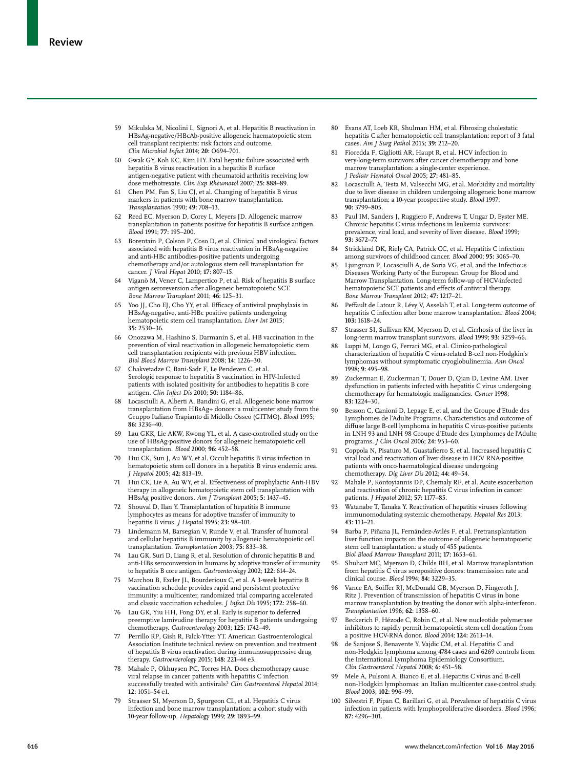- 59 Mikulska M, Nicolini L, Signori A, et al. Hepatitis B reactivation in HBsAg-negative/HBcAb-positive allogeneic haematopoietic stem cell transplant recipients: risk factors and outcome. *Clin Microbiol Infect* 2014; **20:** O694–701.
- 60 Gwak GY, Koh KC, Kim HY. Fatal hepatic failure associated with hepatitis B virus reactivation in a hepatitis B surface antigen-negative patient with rheumatoid arthritis receiving low dose methotrexate. *Clin Exp Rheumatol* 2007; **25:** 888–89.
- 61 Chen PM, Fan S, Liu CJ, et al. Changing of hepatitis B virus markers in patients with bone marrow transplantation. *Transplantation* 1990; **49:** 708–13.
- 62 Reed EC, Myerson D, Corey L, Meyers JD. Allogeneic marrow transplantation in patients positive for hepatitis B surface antigen. *Blood* 1991; **77:** 195–200.
- 63 Borentain P, Colson P, Coso D, et al. Clinical and virological factors associated with hepatitis B virus reactivation in HBsAg-negative and anti-HBc antibodies-positive patients undergoing chemotherapy and/or autologous stem cell transplantation for cancer. *J Viral Hepat* 2010; **17:** 807–15.
- 64 Viganò M, Vener C, Lampertico P, et al. Risk of hepatitis B surface antigen seroreversion after allogeneic hematopoietic SCT. *Bone Marrow Transplant* 2011; **46:** 125–31.
- 65 Yoo JJ, Cho EJ, Cho YY, et al. Efficacy of antiviral prophylaxis in HBsAg-negative, anti-HBc positive patients undergoing hematopoietic stem cell transplantation. *Liver Int* 2015; **35:** 2530–36.
- 66 Onozawa M, Hashino S, Darmanin S, et al. HB vaccination in the prevention of viral reactivation in allogeneic hematopoietic stem cell transplantation recipients with previous HBV infection. *Biol Blood Marrow Transplant* 2008; **14:** 1226–30.
- 67 Chakvetadze C, Bani-Sadr F, Le Pendeven C, et al. Serologic response to hepatitis B vaccination in HIV-Infected patients with isolated positivity for antibodies to hepatitis B core antigen. *Clin Infect Dis* 2010; **50:** 1184–86.
- 68 Locasciulli A, Alberti A, Bandini G, et al. Allogeneic bone marrow transplantation from HBsAg+ donors: a multicenter study from the Gruppo Italiano Trapianto di Midollo Osseo (GITMO). *Blood* 1995; **86:** 3236–40.
- 69 Lau GKK, Lie AKW, Kwong YL, et al. A case-controlled study on the use of HBsAg-positive donors for allogeneic hematopoietic cell transplantation. *Blood* 2000; **96:** 452–58.
- Hui CK, Sun J, Au WY, et al. Occult hepatitis B virus infection in hematopoietic stem cell donors in a hepatitis B virus endemic area. *J Hepatol* 2005; **42:** 813–19.
- 71 Hui CK, Lie A, Au WY, et al. Effectiveness of prophylactic Anti-HBV therapy in allogeneic hematopoietic stem cell transplantation with HBsAg positive donors. *Am J Transplant* 2005; **5:** 1437–45.
- 72 Shouval D, Ilan Y. Transplantation of hepatitis B immune lymphocytes as means for adoptive transfer of immunity to hepatitis B virus. *J Hepatol* 1995; **23:** 98–101.
- 73 Lindemann M, Barsegian V, Runde V, et al. Transfer of humoral and cellular hepatitis B immunity by allogeneic hematopoietic cell transplantation. *Transplantation* 2003; **75:** 833–38.
- 74 Lau GK, Suri D, Liang R, et al. Resolution of chronic hepatitis B and anti-HBs seroconversion in humans by adoptive transfer of immunity to hepatitis B core antigen. *Gastroenterology* 2002; **122:** 614–24.
- Marchou B, Excler JL, Bourderioux C, et al. A 3-week hepatitis B vaccination schedule provides rapid and persistent protective immunity: a multicenter, randomized trial comparing accelerated and classic vaccination schedules. *J Infect Dis* 1995; **172:** 258–60.
- 76 Lau GK, Yiu HH, Fong DY, et al. Early is superior to deferred preemptive lamivudine therapy for hepatitis B patients undergoing chemotherapy. *Gastroenterology* 2003; **125:** 1742–49.
- 77 Perrillo RP, Gish R, Falck-Ytter YT. American Gastroenterological Association Institute technical review on prevention and treatment of hepatitis B virus reactivation during immunosuppressive drug therapy. *Gastroenterology* 2015; **148:** 221–44 e3.
- 78 Mahale P, Okhuysen PC, Torres HA. Does chemotherapy cause viral relapse in cancer patients with hepatitis C infection successfully treated with antivirals? *Clin Gastroenterol Hepatol* 2014; **12:** 1051–54 e1.
- Strasser SI, Myerson D, Spurgeon CL, et al. Hepatitis C virus infection and bone marrow transplantation: a cohort study with 10-year follow-up. *Hepatology* 1999; **29:** 1893–99.
- 80 Evans AT, Loeb KR, Shulman HM, et al. Fibrosing cholestatic hepatitis C after hematopoietic cell transplantation: report of 3 fatal cases. *Am J Surg Pathol* 2015; **39:** 212–20.
- Fioredda F, Gigliotti AR, Haupt R, et al. HCV infection in very-long-term survivors after cancer chemotherapy and bone marrow transplantation: a single-center experience. *J Pediatr Hematol Oncol* 2005; **27:** 481–85.
- Locasciulli A, Testa M, Valsecchi MG, et al. Morbidity and mortality due to liver disease in children undergoing allogeneic bone marrow transplantation: a 10-year prospective study. *Blood* 1997; **90:** 3799–805.
- 83 Paul IM, Sanders J, Ruggiero F, Andrews T, Ungar D, Eyster ME. Chronic hepatitis C virus infections in leukemia survivors: prevalence, viral load, and severity of liver disease. *Blood* 1999; **93:** 3672–77.
- 84 Strickland DK, Riely CA, Patrick CC, et al. Hepatitis C infection among survivors of childhood cancer. *Blood* 2000; **95:** 3065–70.
- Ljungman P, Locasciulli A, de Soria VG, et al, and the Infectious Diseases Working Party of the European Group for Blood and Marrow Transplantation. Long-term follow-up of HCV-infected hematopoietic SCT patients and effects of antiviral therapy. *Bone Marrow Transplant* 2012; **47:** 1217–21.
- 86 Peffault de Latour R, Lévy V, Asselah T, et al. Long-term outcome of hepatitis C infection after bone marrow transplantation. *Blood* 2004; **103:** 1618–24.
- 87 Strasser SI, Sullivan KM, Myerson D, et al. Cirrhosis of the liver in long-term marrow transplant survivors. *Blood* 1999; **93:** 3259–66.
- 88 Luppi M, Longo G, Ferrari MG, et al. Clinico-pathological characterization of hepatitis C virus-related B-cell non-Hodgkin's lymphomas without symptomatic cryoglobulinemia. *Ann Oncol* 1998; **9:** 495–98.
- Zuckerman E, Zuckerman T, Douer D, Qian D, Levine AM. Liver dysfunction in patients infected with hepatitis C virus undergoing chemotherapy for hematologic malignancies. *Cancer* 1998; **83:** 1224–30.
- 90 Besson C, Canioni D, Lepage E, et al, and the Groupe d'Etude des Lymphomes de l'Adulte Programs. Characteristics and outcome of diffuse large B-cell lymphoma in hepatitis C virus-positive patients in LNH 93 and LNH 98 Groupe d'Etude des Lymphomes de l'Adulte programs. *J Clin Oncol* 2006; **24:** 953–60.
- 91 Coppola N, Pisaturo M, Guastafierro S, et al. Increased hepatitis C viral load and reactivation of liver disease in HCV RNA-positive patients with onco-haematological disease undergoing chemotherapy. *Dig Liver Dis* 2012; **44:** 49–54.
- 92 Mahale P, Kontoyiannis DP, Chemaly RF, et al. Acute exacerbation and reactivation of chronic hepatitis C virus infection in cancer patients. *J Hepatol* 2012; **57:** 1177–85.
- 93 Watanabe T, Tanaka Y. Reactivation of hepatitis viruses following immunomodulating systemic chemotherapy. *Hepatol Res* 2013; **43:** 113–21.
- 94 Barba P, Piñana JL, Fernández-Avilés F, et al. Pretransplantation liver function impacts on the outcome of allogeneic hematopoietic stem cell transplantation: a study of 455 patients. *Biol Blood Marrow Transplant* 2011; **17:** 1653–61.
- 95 Shuhart MC, Myerson D, Childs BH, et al. Marrow transplantation from hepatitis C virus seropositive donors: transmission rate and clinical course. *Blood* 1994; **84:** 3229–35.
- Vance EA, Soiffer RJ, McDonald GB, Myerson D, Fingeroth J, Ritz J. Prevention of transmission of hepatitis C virus in bone marrow transplantation by treating the donor with alpha-interferon. *Transplantation* 1996; **62:** 1358–60.
- 97 Beckerich F, Hézode C, Robin C, et al. New nucleotide polymerase inhibitors to rapidly permit hematopoietic stem cell donation from a positive HCV-RNA donor. *Blood* 2014; **124:** 2613–14.
- 98 de Sanjose S, Benavente Y, Vajdic CM, et al. Hepatitis C and non-Hodgkin lymphoma among 4784 cases and 6269 controls from the International Lymphoma Epidemiology Consortium. *Clin Gastroenterol Hepatol* 2008; **6:** 451–58.
- 99 Mele A, Pulsoni A, Bianco E, et al. Hepatitis C virus and B-cell non-Hodgkin lymphomas: an Italian multicenter case-control study. *Blood* 2003; **102:** 996–99.
- Silvestri F, Pipan C, Barillari G, et al. Prevalence of hepatitis C virus infection in patients with lymphoproliferative disorders. *Blood* 1996; **87:** 4296–301.